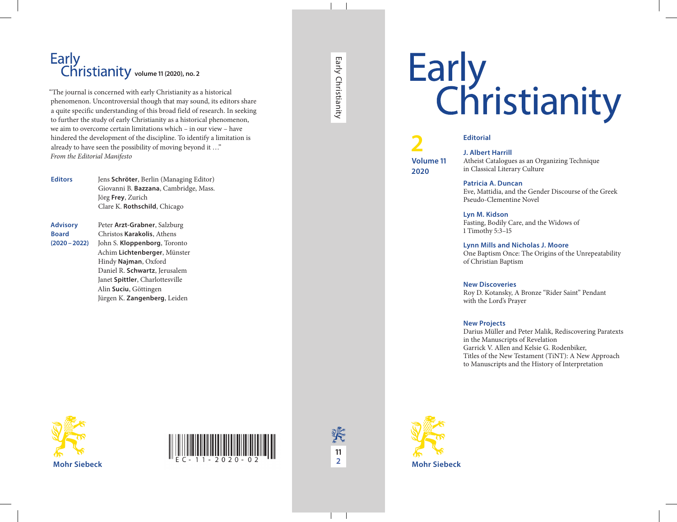# Early<br>Christianity



#### **Editorial**

**J. Albert Harrill** Atheist Catalogues as an Organizing Technique in Classical Literary Culture

**Patricia A. Duncan** Eve, Mattidia, and the Gender Discourse of the Greek Pseudo-Clementine Novel

**Lyn M. Kidson** Fasting, Bodily Care, and the Widows of 1 Timothy 5:3–15

#### **Lynn Mills and Nicholas J. Moore**

One Baptism Once: The Origins of the Unrepeatability of Christian Baptism

#### **New Discoveries**

Roy D. Kotansky, A Bronze "Rider Saint" Pendant with the Lord's Prayer

#### **New Projects**

Darius Müller and Peter Malik, Rediscovering Paratexts in the Manuscripts of Revelation Garrick V. Allen and Kelsie G. Rodenbiker, Titles of the New Testament (TiNT): A New Approach to Manuscripts and the History of Interpretation

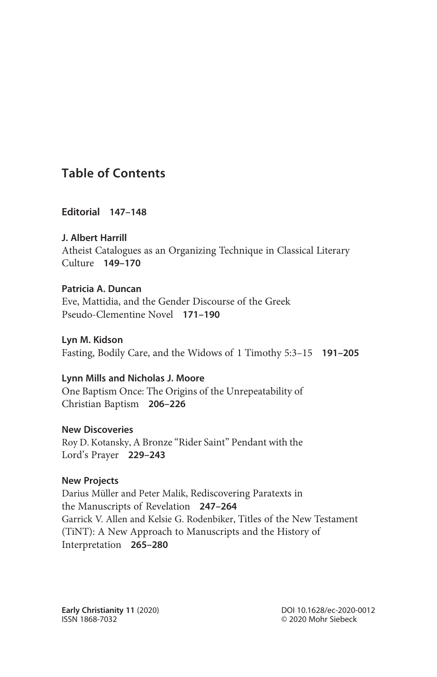# Table of Contents

Editorial 147–148

J. Albert Harrill Atheist Catalogues as an Organizing Technique in Classical Literary Culture 149–170

Patricia A. Duncan Eve, Mattidia, and the Gender Discourse of the Greek Pseudo-Clementine Novel 171–190

Lyn M. Kidson Fasting, Bodily Care, and the Widows of 1 Timothy 5:3–15 191–205

Lynn Mills and Nicholas J. Moore One Baptism Once: The Origins of the Unrepeatability of Christian Baptism 206–226

New Discoveries Roy D. Kotansky, A Bronze "Rider Saint" Pendant with the Lord's Prayer 229–243

## New Projects

Darius Müller and Peter Malik, Rediscovering Paratexts in the Manuscripts of Revelation 247–264 Garrick V. Allen and Kelsie G. Rodenbiker, Titles of the New Testament (TiNT): A New Approach to Manuscripts and the History of Interpretation 265–280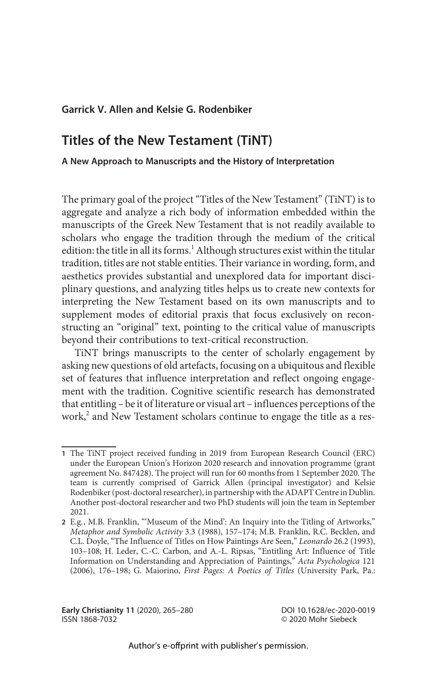### Garrick V. Allen and Kelsie G. Rodenbiker

# Titles of the New Testament (TiNT)

#### A New Approach to Manuscripts and the History of Interpretation

The primary goal of the project"Titles of the New Testament"(TiNT) is to aggregate and analyze a rich body of information embedded within the manuscripts of the Greek New Testament that is not readily available to scholars who engage the tradition through the medium of the critical edition: the title in all its forms.<sup>1</sup> Although structures exist within the titular tradition, titles are not stable entities. Their variance in wording, form, and aesthetics provides substantial and unexplored data for important disciplinary questions, and analyzing titles helps us to create new contexts for interpreting the New Testament based on its own manuscripts and to supplement modes of editorial praxis that focus exclusively on reconstructing an "original" text, pointing to the critical value of manuscripts beyond their contributions to text-critical reconstruction.

TiNT brings manuscripts to the center of scholarly engagement by asking new questions of old artefacts, focusing on a ubiquitous and flexible set of features that influence interpretation and reflect ongoing engagement with the tradition. Cognitive scientific research has demonstrated that entitling – be it of literature or visual art – influences perceptions of the work,<sup>2</sup> and New Testament scholars continue to engage the title as a res-

Early Christianity 11 (2020), 265–280 ISSN 1868-7032

DOI 10.1628/ec-2020-0019 © 2020 Mohr Siebeck

<sup>1</sup> The TiNT project received funding in 2019 from European Research Council (ERC) under the European Union's Horizon 2020 research and innovation programme (grant agreement No. 847428). The project will run for 60 months from 1 September 2020. The team is currently comprised of Garrick Allen (principal investigator) and Kelsie Rodenbiker (post-doctoral researcher), in partnership with the ADAPT Centre in Dublin. Another post-doctoral researcher and two PhD students will join the team in September 2021.

<sup>2</sup> E.g., M.B. Franklin, "'Museum of the Mind': An Inquiry into the Titling of Artworks," Metaphor and Symbolic Activity 3.3 (1988), 157–174; M.B. Franklin, R.C. Becklen, and C.L. Doyle, "The Influence of Titles on How Paintings Are Seen," Leonardo 26.2 (1993), 103–108; H. Leder, C.-C. Carbon, and A.-L. Ripsas, "Entitling Art: Influence of Title Information on Understanding and Appreciation of Paintings," Acta Psychologica 121 (2006), 176–198; G. Maiorino, First Pages: A Poetics of Titles (University Park, Pa.: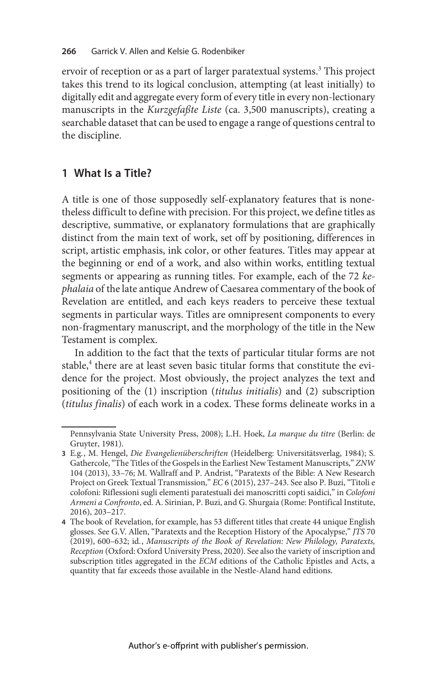ervoir of reception or as a part of larger paratextual systems.<sup>3</sup> This project takes this trend to its logical conclusion, attempting (at least initially) to digitally edit and aggregate every form of every title in every non-lectionary manuscripts in the *Kurzgefaßte Liste* (ca. 3,500 manuscripts), creating a searchable dataset that can be used to engage a range of questions central to the discipline.

# 1 What Is a Title?

A title is one of those supposedly self-explanatory features that is nonetheless difficult to define with precision. For this project, we define titles as descriptive, summative, or explanatory formulations that are graphically distinct from the main text of work, set off by positioning, differences in script, artistic emphasis, ink color, or other features. Titles may appear at the beginning or end of a work, and also within works, entitling textual segments or appearing as running titles. For example, each of the 72 kephalaia of the late antique Andrew of Caesarea commentary of the book of Revelation are entitled, and each keys readers to perceive these textual segments in particular ways. Titles are omnipresent components to every non-fragmentary manuscript, and the morphology of the title in the New Testament is complex.

In addition to the fact that the texts of particular titular forms are not stable,<sup>4</sup> there are at least seven basic titular forms that constitute the evidence for the project. Most obviously, the project analyzes the text and positioning of the (1) inscription (titulus initialis) and (2) subscription (titulus finalis) of each work in a codex. These forms delineate works in a

Pennsylvania State University Press, 2008); L.H. Hoek, La marque du titre (Berlin: de Gruyter, 1981).

<sup>3</sup> E.g., M. Hengel, Die Evangelienüberschriften (Heidelberg: Universitätsverlag, 1984); S. Gathercole,"The Titles of the Gospels in the Earliest New Testament Manuscripts," ZNW 104 (2013), 33–76; M. Wallraff and P. Andrist, "Paratexts of the Bible: A New Research Project on Greek Textual Transmission," EC 6 (2015), 237–243. See also P. Buzi, "Titoli e colofoni: Riflessioni sugli elementi paratestuali dei manoscritti copti saidici," in Colofoni Armeni a Confronto, ed. A. Sirinian, P. Buzi, and G. Shurgaia (Rome: Pontifical Institute, 2016), 203–217.

<sup>4</sup> The book of Revelation, for example, has 53 different titles that create 44 unique English glosses. See G.V. Allen, "Paratexts and the Reception History of the Apocalypse," JTS 70 (2019), 600–632; id., Manuscripts of the Book of Revelation: New Philology, Paratexts, Reception (Oxford: Oxford University Press, 2020). See also the variety of inscription and subscription titles aggregated in the ECM editions of the Catholic Epistles and Acts, a quantity that far exceeds those available in the Nestle-Aland hand editions.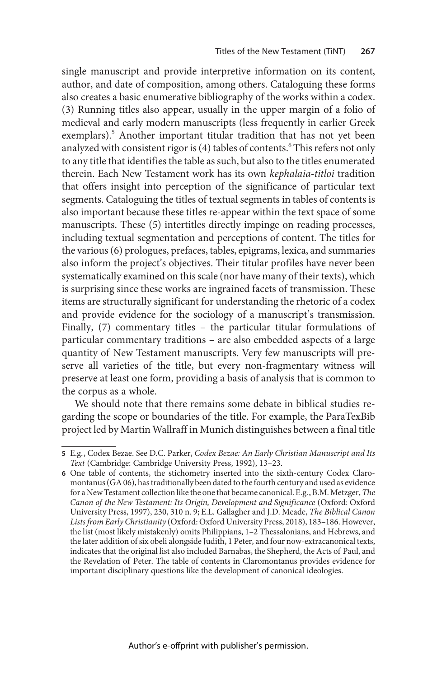single manuscript and provide interpretive information on its content, author, and date of composition, among others. Cataloguing these forms also creates a basic enumerative bibliography of the works within a codex. (3) Running titles also appear, usually in the upper margin of a folio of medieval and early modern manuscripts (less frequently in earlier Greek exemplars).<sup>5</sup> Another important titular tradition that has not yet been analyzed with consistent rigor is (4) tables of contents.<sup>6</sup> This refers not only to any title that identifies the table as such, but also to the titles enumerated therein. Each New Testament work has its own kephalaia-titloi tradition that offers insight into perception of the significance of particular text segments. Cataloguing the titles of textual segments in tables of contents is also important because these titles re-appear within the text space of some manuscripts. These (5) intertitles directly impinge on reading processes, including textual segmentation and perceptions of content. The titles for the various (6) prologues, prefaces, tables, epigrams, lexica, and summaries also inform the project's objectives. Their titular profiles have never been systematically examined on this scale (nor have many of their texts), which is surprising since these works are ingrained facets of transmission. These items are structurally significant for understanding the rhetoric of a codex and provide evidence for the sociology of a manuscript's transmission. Finally, (7) commentary titles – the particular titular formulations of particular commentary traditions – are also embedded aspects of a large quantity of New Testament manuscripts. Very few manuscripts will preserve all varieties of the title, but every non-fragmentary witness will preserve at least one form, providing a basis of analysis that is common to the corpus as a whole.

We should note that there remains some debate in biblical studies regarding the scope or boundaries of the title. For example, the ParaTexBib project led by Martin Wallraff in Munich distinguishes between a final title

<sup>5</sup> E.g., Codex Bezae. See D.C. Parker, Codex Bezae: An Early Christian Manuscript and Its Text (Cambridge: Cambridge University Press, 1992), 13–23.

<sup>6</sup> One table of contents, the stichometry inserted into the sixth-century Codex Claromontanus (GA 06), has traditionally been dated to thefourth century and used as evidence for a NewTestament collection like the one that became canonical. E.g., B.M.Metzger, The Canon of the New Testament: Its Origin, Development and Significance (Oxford: Oxford University Press, 1997), 230, 310 n. 9; E.L. Gallagher and J.D. Meade, The Biblical Canon Lists from Early Christianity (Oxford: Oxford University Press, 2018), 183–186. However, the list (most likely mistakenly) omits Philippians, 1–2 Thessalonians, and Hebrews, and the later addition of six obeli alongside Judith, 1 Peter, and four now-extracanonical texts, indicates that the original list also included Barnabas, the Shepherd, the Acts of Paul, and the Revelation of Peter. The table of contents in Claromontanus provides evidence for important disciplinary questions like the development of canonical ideologies.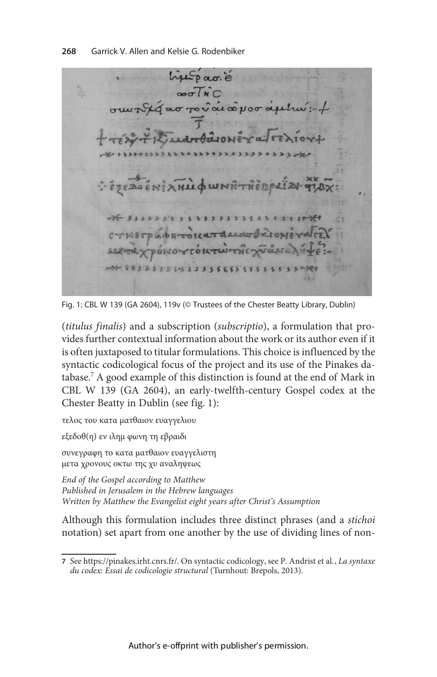histpag.  $\overline{\text{ow}}$ ara $\overline{\text{w}}$ WERPLI  $0110 -$ 00 8888888898888888888

Fig. 1: CBL W 139 (GA 2604), 119v (© Trustees of the Chester Beatty Library, Dublin)

(titulus finalis) and a subscription (subscriptio), a formulation that provides further contextual information about the work or its author even if it is often juxtaposed to titular formulations. This choice is influenced by the syntactic codicological focus of the project and its use of the Pinakes database.<sup>7</sup> A good example of this distinction is found at the end of Mark in CBL W 139 (GA 2604), an early-twelfth-century Gospel codex at the Chester Beatty in Dublin (see fig. 1):

τελος του κατα ματθαιον ευαγγελιου

εξεδοθ(η) εν ιλημ φωνη τη εβραιδι

συνεγραφη το κατα ματθαιον ευαγγελιστη μετα χρονους οκτω της χυ αναληψεως

End of the Gospel according to Matthew Published in Jerusalem in the Hebrew languages Written by Matthew the Evangelist eight years after Christ's Assumption

Although this formulation includes three distinct phrases (and a stichoi notation) set apart from one another by the use of dividing lines of non-

<sup>7</sup> See https://pinakes.irht.cnrs.fr/. On syntactic codicology, see P. Andrist et al., La syntaxe du codex: Essai de codicologie structural (Turnhout: Brepols, 2013).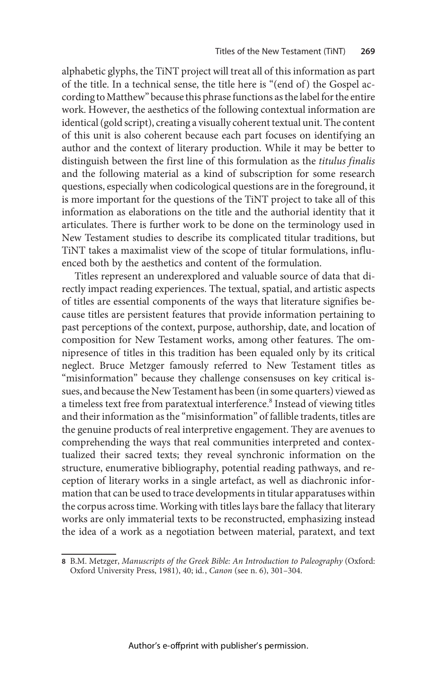alphabetic glyphs, the TiNT project will treat all of this information as part of the title. In a technical sense, the title here is "(end of) the Gospel according to Matthew" because this phrase functions as the label for the entire work. However, the aesthetics of the following contextual information are identical (gold script), creating a visually coherent textual unit. The content of this unit is also coherent because each part focuses on identifying an author and the context of literary production. While it may be better to distinguish between the first line of this formulation as the titulus finalis and the following material as a kind of subscription for some research questions, especially when codicological questions are in the foreground, it is more important for the questions of the TiNT project to take all of this information as elaborations on the title and the authorial identity that it articulates. There is further work to be done on the terminology used in New Testament studies to describe its complicated titular traditions, but TiNT takes a maximalist view of the scope of titular formulations, influenced both by the aesthetics and content of the formulation.

Titles represent an underexplored and valuable source of data that directly impact reading experiences. The textual, spatial, and artistic aspects of titles are essential components of the ways that literature signifies because titles are persistent features that provide information pertaining to past perceptions of the context, purpose, authorship, date, and location of composition for New Testament works, among other features. The omnipresence of titles in this tradition has been equaled only by its critical neglect. Bruce Metzger famously referred to New Testament titles as "misinformation" because they challenge consensuses on key critical issues, and because the NewTestament has been (in some quarters) viewed as a timeless text free from paratextual interference.<sup>8</sup> Instead of viewing titles and their information as the "misinformation" of fallible tradents, titles are the genuine products of real interpretive engagement. They are avenues to comprehending the ways that real communities interpreted and contextualized their sacred texts; they reveal synchronic information on the structure, enumerative bibliography, potential reading pathways, and reception of literary works in a single artefact, as well as diachronic information that can be used to trace developments in titular apparatuses within the corpus across time. Working with titles lays bare the fallacy that literary works are only immaterial texts to be reconstructed, emphasizing instead the idea of a work as a negotiation between material, paratext, and text

<sup>8</sup> B.M. Metzger, Manuscripts of the Greek Bible: An Introduction to Paleography (Oxford: Oxford University Press, 1981), 40; id., Canon (see n. 6), 301–304.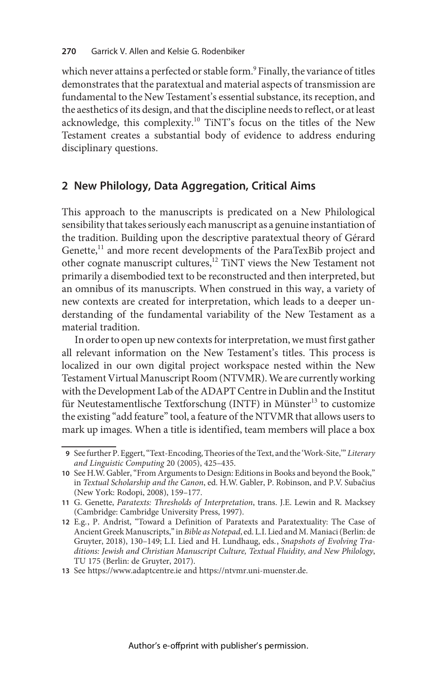which never attains a perfected or stable form.<sup>9</sup> Finally, the variance of titles demonstrates that the paratextual and material aspects of transmission are fundamental to the New Testament's essential substance, its reception, and the aesthetics of its design, and that the discipline needs to reflect, or at least acknowledge, this complexity.<sup>10</sup> TiNT's focus on the titles of the New Testament creates a substantial body of evidence to address enduring disciplinary questions.

## 2 New Philology, Data Aggregation, Critical Aims

This approach to the manuscripts is predicated on a New Philological sensibility that takes seriously each manuscript as a genuine instantiation of the tradition. Building upon the descriptive paratextual theory of Gérard Genette, $^{11}$  and more recent developments of the ParaTexBib project and other cognate manuscript cultures,<sup>12</sup> TiNT views the New Testament not primarily a disembodied text to be reconstructed and then interpreted, but an omnibus of its manuscripts. When construed in this way, a variety of new contexts are created for interpretation, which leads to a deeper understanding of the fundamental variability of the New Testament as a material tradition.

In order to open up new contexts for interpretation, we must first gather all relevant information on the New Testament's titles. This process is localized in our own digital project workspace nested within the New Testament Virtual Manuscript Room (NTVMR). We are currently working with the Development Lab of the ADAPT Centre in Dublin and the Institut für Neutestamentlische Textforschung (INTF) in Münster<sup>13</sup> to customize the existing "add feature" tool, a feature of the NTVMR that allows users to mark up images. When a title is identified, team members will place a box

<sup>9</sup> See further P. Eggert, "Text-Encoding, Theories of the Text, and the 'Work-Site,'" Literary and Linguistic Computing 20 (2005), 425–435.

<sup>10</sup> See H.W. Gabler,"From Arguments to Design: Editions in Books and beyond the Book," in Textual Scholarship and the Canon, ed. H.W. Gabler, P. Robinson, and P.V. Subačius (New York: Rodopi, 2008), 159–177.

<sup>11</sup> G. Genette, Paratexts: Thresholds of Interpretation, trans. J.E. Lewin and R. Macksey (Cambridge: Cambridge University Press, 1997).

<sup>12</sup> E.g., P. Andrist, "Toward a Definition of Paratexts and Paratextuality: The Case of Ancient Greek Manuscripts,"in Bible as Notepad, ed. L.I. Lied and M. Maniaci (Berlin: de Gruyter, 2018), 130–149; L.I. Lied and H. Lundhaug, eds., Snapshots of Evolving Traditions: Jewish and Christian Manuscript Culture, Textual Fluidity, and New Philology, TU 175 (Berlin: de Gruyter, 2017).

<sup>13</sup> See https://www.adaptcentre.ie and https://ntvmr.uni-muenster.de.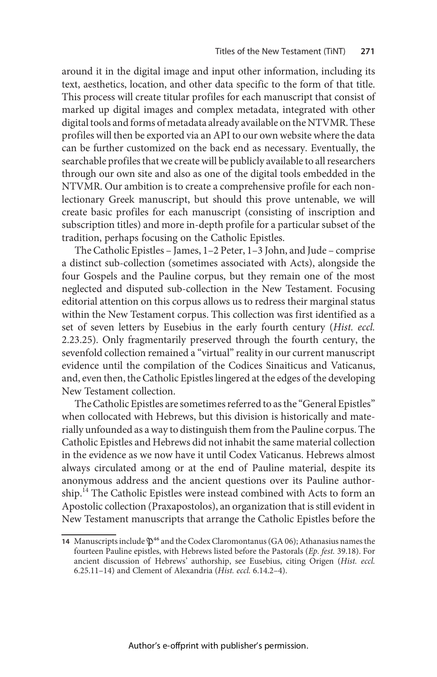around it in the digital image and input other information, including its text, aesthetics, location, and other data specific to the form of that title. This process will create titular profiles for each manuscript that consist of marked up digital images and complex metadata, integrated with other digital tools and forms of metadata already available on the NTVMR. These profiles will then be exported via an API to our own website where the data can be further customized on the back end as necessary. Eventually, the searchable profiles that we create will be publicly available to all researchers through our own site and also as one of the digital tools embedded in the NTVMR. Our ambition is to create a comprehensive profile for each nonlectionary Greek manuscript, but should this prove untenable, we will create basic profiles for each manuscript (consisting of inscription and subscription titles) and more in-depth profile for a particular subset of the tradition, perhaps focusing on the Catholic Epistles.

The Catholic Epistles – James, 1–2 Peter, 1–3 John, and Jude – comprise a distinct sub-collection (sometimes associated with Acts), alongside the four Gospels and the Pauline corpus, but they remain one of the most neglected and disputed sub-collection in the New Testament. Focusing editorial attention on this corpus allows us to redress their marginal status within the New Testament corpus. This collection was first identified as a set of seven letters by Eusebius in the early fourth century (Hist. eccl. 2.23.25). Only fragmentarily preserved through the fourth century, the sevenfold collection remained a "virtual" reality in our current manuscript evidence until the compilation of the Codices Sinaiticus and Vaticanus, and, even then, the Catholic Epistles lingered at the edges of the developing New Testament collection.

The Catholic Epistles are sometimes referred to as the "General Epistles" when collocated with Hebrews, but this division is historically and materially unfounded as a way to distinguish them from the Pauline corpus. The Catholic Epistles and Hebrews did not inhabit the same material collection in the evidence as we now have it until Codex Vaticanus. Hebrews almost always circulated among or at the end of Pauline material, despite its anonymous address and the ancient questions over its Pauline authorship.<sup>14</sup> The Catholic Epistles were instead combined with Acts to form an Apostolic collection (Praxapostolos), an organization that is still evident in New Testament manuscripts that arrange the Catholic Epistles before the

<sup>14</sup> Manuscripts include  $\mathfrak{P}^{46}$  and the Codex Claromontanus (GA 06); Athanasius names the fourteen Pauline epistles, with Hebrews listed before the Pastorals (Ep. fest. 39.18). For ancient discussion of Hebrews' authorship, see Eusebius, citing Origen (Hist. eccl. 6.25.11–14) and Clement of Alexandria (Hist. eccl. 6.14.2–4).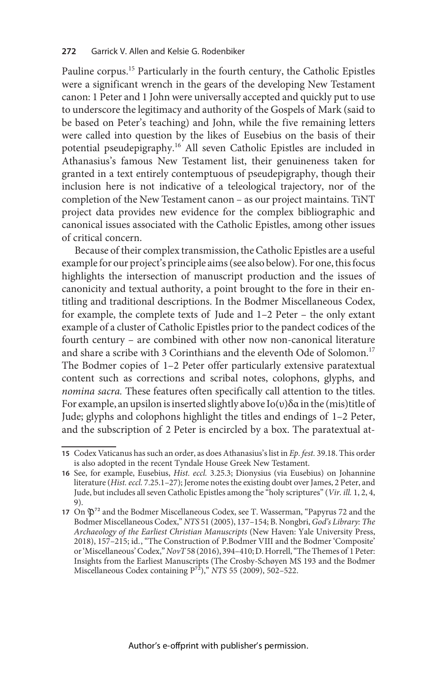Pauline corpus.<sup>15</sup> Particularly in the fourth century, the Catholic Epistles were a significant wrench in the gears of the developing New Testament canon: 1 Peter and 1 John were universally accepted and quickly put to use to underscore the legitimacy and authority of the Gospels of Mark (said to be based on Peter's teaching) and John, while the five remaining letters were called into question by the likes of Eusebius on the basis of their potential pseudepigraphy.<sup>16</sup> All seven Catholic Epistles are included in Athanasius's famous New Testament list, their genuineness taken for granted in a text entirely contemptuous of pseudepigraphy, though their inclusion here is not indicative of a teleological trajectory, nor of the completion of the New Testament canon – as our project maintains. TiNT project data provides new evidence for the complex bibliographic and canonical issues associated with the Catholic Epistles, among other issues of critical concern.

Because of their complex transmission, the Catholic Epistles are a useful example for our project's principle aims (see also below). For one, this focus highlights the intersection of manuscript production and the issues of canonicity and textual authority, a point brought to the fore in their entitling and traditional descriptions. In the Bodmer Miscellaneous Codex, for example, the complete texts of Jude and 1–2 Peter – the only extant example of a cluster of Catholic Epistles prior to the pandect codices of the fourth century – are combined with other now non-canonical literature and share a scribe with 3 Corinthians and the eleventh Ode of Solomon.<sup>17</sup> The Bodmer copies of 1–2 Peter offer particularly extensive paratextual content such as corrections and scribal notes, colophons, glyphs, and nomina sacra. These features often specifically call attention to the titles. For example, an upsilon is inserted slightly above Ιο(υ)δα in the (mis)title of Jude; glyphs and colophons highlight the titles and endings of 1–2 Peter, and the subscription of 2 Peter is encircled by a box. The paratextual at-

<sup>15</sup> Codex Vaticanus has such an order, as does Athanasius's list in  $Ep.$  fest. 39.18. This order is also adopted in the recent Tyndale House Greek New Testament.

<sup>16</sup> See, for example, Eusebius, Hist. eccl. 3.25.3; Dionysius (via Eusebius) on Johannine literature (Hist. eccl. 7.25.1–27); Jerome notes the existing doubt over James, 2 Peter, and Jude, but includes all seven Catholic Epistles among the "holy scriptures"(Vir. ill. 1, 2, 4, 9).

<sup>17</sup> On  $\mathfrak{D}^{72}$  and the Bodmer Miscellaneous Codex, see T. Wasserman, "Papyrus 72 and the Bodmer Miscellaneous Codex," NTS 51 (2005), 137–154; B. Nongbri, God's Library: The Archaeology of the Earliest Christian Manuscripts (New Haven: Yale University Press, 2018), 157–215; id., "The Construction of P.Bodmer VIII and the Bodmer 'Composite' or'Miscellaneous'Codex,"NovT58 (2016), 394–410; D. Horrell,"The Themes of 1 Peter: Insights from the Earliest Manuscripts (The Crosby-Schøyen MS 193 and the Bodmer Miscellaneous Codex containing  $P^{72}$ )," NTS 55 (2009), 502–522.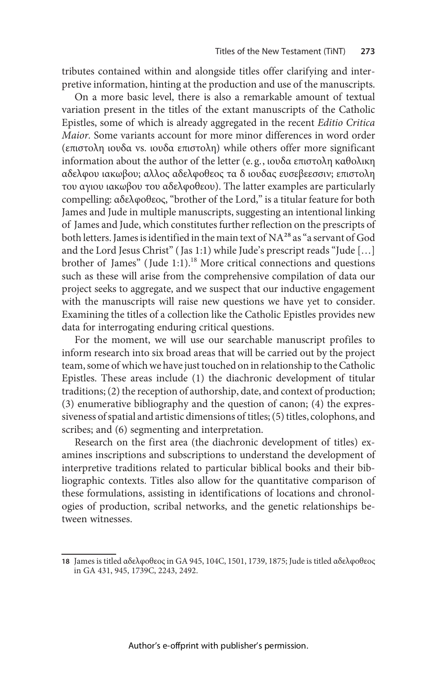tributes contained within and alongside titles offer clarifying and interpretive information, hinting at the production and use of the manuscripts.

On a more basic level, there is also a remarkable amount of textual variation present in the titles of the extant manuscripts of the Catholic Epistles, some of which is already aggregated in the recent Editio Critica Maior. Some variants account for more minor differences in word order (επιστολη ιουδα vs. ιουδα επιστολη) while others offer more significant information about the author of the letter (e. g., ιουδα επιστολη καθολικη αδελφου ιακωβου; αλλος αδελφοθεος τα δ ιουδας ευσεβεεσσιν; επιστολη του αγιου ιακωβου του αδελφοθεου). The latter examples are particularly compelling: αδελφοθεος, "brother of the Lord," is a titular feature for both James and Jude in multiple manuscripts, suggesting an intentional linking of James and Jude, which constitutes further reflection on the prescripts of both letters. James is identified in the main text of  $NA^{28}$  as "a servant of God and the Lord Jesus Christ" ( Jas 1:1) while Jude's prescript reads "Jude […] brother of James" (Jude 1:1).<sup>18</sup> More critical connections and questions such as these will arise from the comprehensive compilation of data our project seeks to aggregate, and we suspect that our inductive engagement with the manuscripts will raise new questions we have yet to consider. Examining the titles of a collection like the Catholic Epistles provides new data for interrogating enduring critical questions.

For the moment, we will use our searchable manuscript profiles to inform research into six broad areas that will be carried out by the project team, some of which we have just touched on in relationship to the Catholic Epistles. These areas include (1) the diachronic development of titular traditions; (2) the reception of authorship, date, and context of production; (3) enumerative bibliography and the question of canon; (4) the expressiveness of spatial and artistic dimensions of titles; (5) titles, colophons, and scribes; and (6) segmenting and interpretation.

Research on the first area (the diachronic development of titles) examines inscriptions and subscriptions to understand the development of interpretive traditions related to particular biblical books and their bibliographic contexts. Titles also allow for the quantitative comparison of these formulations, assisting in identifications of locations and chronologies of production, scribal networks, and the genetic relationships between witnesses.

<sup>18</sup> James is titled αδελφοθεοςin GA 945, 104C, 1501, 1739, 1875; Jude is titled αδελφοθεος in GA 431, 945, 1739C, 2243, 2492.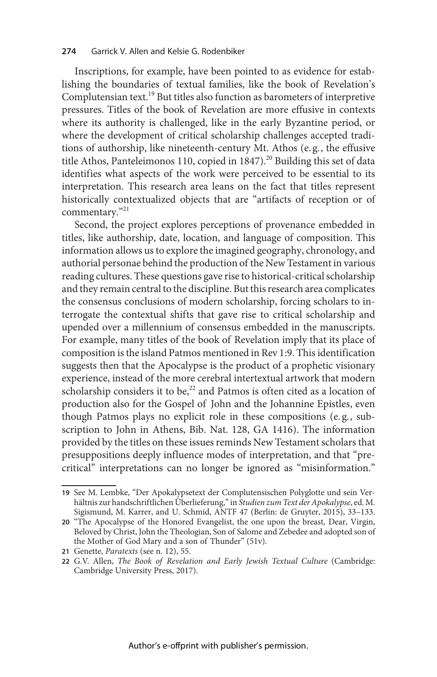#### 274 Garrick V. Allen and Kelsie G. Rodenbiker

Inscriptions, for example, have been pointed to as evidence for establishing the boundaries of textual families, like the book of Revelation's Complutensian text.<sup>19</sup> But titles also function as barometers of interpretive pressures. Titles of the book of Revelation are more effusive in contexts where its authority is challenged, like in the early Byzantine period, or where the development of critical scholarship challenges accepted traditions of authorship, like nineteenth-century Mt. Athos (e. g., the effusive title Athos, Panteleimonos 110, copied in  $1847$ ).<sup>20</sup> Building this set of data identifies what aspects of the work were perceived to be essential to its interpretation. This research area leans on the fact that titles represent historically contextualized objects that are "artifacts of reception or of commentary." 21

Second, the project explores perceptions of provenance embedded in titles, like authorship, date, location, and language of composition. This information allows us to explore the imagined geography, chronology, and authorial personae behind the production of the New Testament in various reading cultures. These questions gave rise to historical-critical scholarship and they remain central to the discipline. But this research area complicates the consensus conclusions of modern scholarship, forcing scholars to interrogate the contextual shifts that gave rise to critical scholarship and upended over a millennium of consensus embedded in the manuscripts. For example, many titles of the book of Revelation imply that its place of composition is the island Patmos mentioned in Rev 1:9. This identification suggests then that the Apocalypse is the product of a prophetic visionary experience, instead of the more cerebral intertextual artwork that modern scholarship considers it to be, $^{22}$  and Patmos is often cited as a location of production also for the Gospel of John and the Johannine Epistles, even though Patmos plays no explicit role in these compositions (e. g., subscription to John in Athens, Bib. Nat. 128, GA 1416). The information provided by the titles on these issues reminds New Testament scholars that presuppositions deeply influence modes of interpretation, and that "precritical" interpretations can no longer be ignored as "misinformation."

<sup>19</sup> See M. Lembke, "Der Apokalypsetext der Complutensischen Polyglotte und sein Verhältnis zur handschriftlichen Überlieferung,"in Studien zum Text der Apokalypse, ed. M. Sigismund, M. Karrer, and U. Schmid, ANTF 47 (Berlin: de Gruyter, 2015), 33–133.

<sup>20</sup> "The Apocalypse of the Honored Evangelist, the one upon the breast, Dear, Virgin, Beloved by Christ, John the Theologian, Son of Salome and Zebedee and adopted son of the Mother of God Mary and a son of Thunder" (51v).

<sup>21</sup> Genette, Paratexts (see n. 12), 55.

<sup>22</sup> G.V. Allen, The Book of Revelation and Early Jewish Textual Culture (Cambridge: Cambridge University Press, 2017).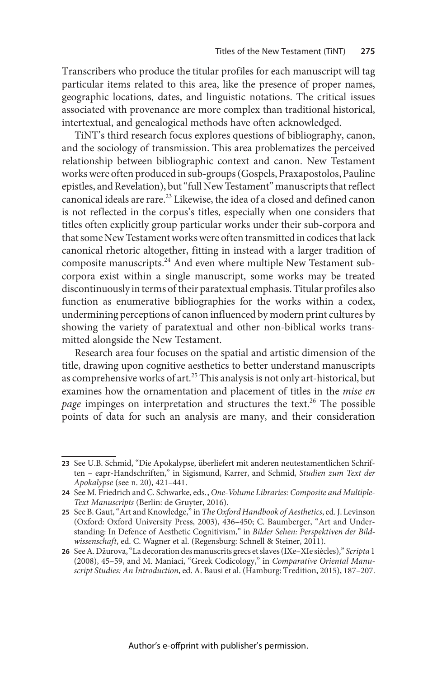Transcribers who produce the titular profiles for each manuscript will tag particular items related to this area, like the presence of proper names, geographic locations, dates, and linguistic notations. The critical issues associated with provenance are more complex than traditional historical, intertextual, and genealogical methods have often acknowledged.

TiNT's third research focus explores questions of bibliography, canon, and the sociology of transmission. This area problematizes the perceived relationship between bibliographic context and canon. New Testament works were often produced in sub-groups (Gospels, Praxapostolos, Pauline epistles, and Revelation), but"full New Testament" manuscripts that reflect canonical ideals are rare.<sup>23</sup> Likewise, the idea of a closed and defined canon is not reflected in the corpus's titles, especially when one considers that titles often explicitly group particular works under their sub-corpora and that some NewTestament works were often transmitted in codices that lack canonical rhetoric altogether, fitting in instead with a larger tradition of composite manuscripts.<sup>24</sup> And even where multiple New Testament subcorpora exist within a single manuscript, some works may be treated discontinuously in terms of their paratextual emphasis.Titular profiles also function as enumerative bibliographies for the works within a codex, undermining perceptions of canon influenced by modern print cultures by showing the variety of paratextual and other non-biblical works transmitted alongside the New Testament.

Research area four focuses on the spatial and artistic dimension of the title, drawing upon cognitive aesthetics to better understand manuscripts as comprehensive works of art.<sup>25</sup> This analysis is not only art-historical, but examines how the ornamentation and placement of titles in the mise en page impinges on interpretation and structures the text.<sup>26</sup> The possible points of data for such an analysis are many, and their consideration

<sup>23</sup> See U.B. Schmid, "Die Apokalypse, überliefert mit anderen neutestamentlichen Schriften – eapr-Handschriften," in Sigismund, Karrer, and Schmid, Studien zum Text der Apokalypse (see n. 20), 421–441.

<sup>24</sup> See M. Friedrich and C. Schwarke, eds., One-Volume Libraries: Composite and Multiple-Text Manuscripts (Berlin: de Gruyter, 2016).

<sup>25</sup> See B. Gaut, "Art and Knowledge," in The Oxford Handbook of Aesthetics, ed. J. Levinson (Oxford: Oxford University Press, 2003), 436–450; C. Baumberger, "Art and Understanding: In Defence of Aesthetic Cognitivism," in Bilder Sehen: Perspektiven der Bildwissenschaft, ed. C. Wagner et al. (Regensburg: Schnell & Steiner, 2011).

<sup>26</sup> See A. Džurova,"La decoration des manuscrits grecs et slaves (IXe–XIe siècles)," Scripta 1 (2008), 45–59, and M. Maniaci, "Greek Codicology," in Comparative Oriental Manuscript Studies: An Introduction, ed. A. Bausi et al. (Hamburg: Tredition, 2015), 187–207.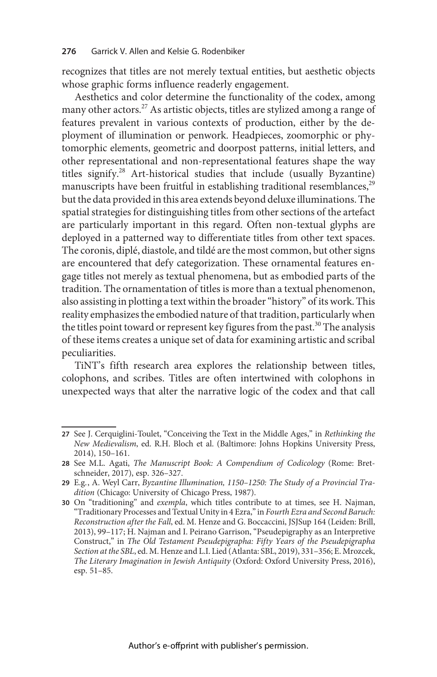recognizes that titles are not merely textual entities, but aesthetic objects whose graphic forms influence readerly engagement.

Aesthetics and color determine the functionality of the codex, among many other actors.<sup>27</sup> As artistic objects, titles are stylized among a range of features prevalent in various contexts of production, either by the deployment of illumination or penwork. Headpieces, zoomorphic or phytomorphic elements, geometric and doorpost patterns, initial letters, and other representational and non-representational features shape the way titles signify.<sup>28</sup> Art-historical studies that include (usually Byzantine) manuscripts have been fruitful in establishing traditional resemblances,<sup>29</sup> but the data provided in this area extends beyond deluxe illuminations. The spatial strategies for distinguishing titles from other sections of the artefact are particularly important in this regard. Often non-textual glyphs are deployed in a patterned way to differentiate titles from other text spaces. The coronis, diplé, diastole, and tildé are the most common, but other signs are encountered that defy categorization. These ornamental features engage titles not merely as textual phenomena, but as embodied parts of the tradition. The ornamentation of titles is more than a textual phenomenon, also assisting in plotting a text within the broader"history" of its work. This reality emphasizes the embodied nature of that tradition, particularly when the titles point toward or represent key figures from the past.<sup>30</sup> The analysis of these items creates a unique set of data for examining artistic and scribal peculiarities.

TiNT's fifth research area explores the relationship between titles, colophons, and scribes. Titles are often intertwined with colophons in unexpected ways that alter the narrative logic of the codex and that call

<sup>27</sup> See J. Cerquiglini-Toulet, "Conceiving the Text in the Middle Ages," in Rethinking the New Medievalism, ed. R.H. Bloch et al. (Baltimore: Johns Hopkins University Press, 2014), 150–161.

<sup>28</sup> See M.L. Agati, The Manuscript Book: A Compendium of Codicology (Rome: Bretschneider, 2017), esp. 326–327.

<sup>29</sup> E.g., A. Weyl Carr, Byzantine Illumination, 1150–1250: The Study of a Provincial Tradition (Chicago: University of Chicago Press, 1987).

<sup>30</sup> On "traditioning" and exempla, which titles contribute to at times, see H. Najman, "Traditionary Processes and Textual Unity in 4 Ezra,"in Fourth Ezra and Second Baruch: Reconstruction after the Fall, ed. M. Henze and G. Boccaccini, JSJSup 164 (Leiden: Brill, 2013), 99–117; H. Najman and I. Peirano Garrison, "Pseudepigraphy as an Interpretive Construct," in The Old Testament Pseudepigrapha: Fifty Years of the Pseudepigrapha Section at the SBL, ed. M. Henze and L.I. Lied (Atlanta: SBL, 2019), 331–356; E. Mrozcek, The Literary Imagination in Jewish Antiquity (Oxford: Oxford University Press, 2016), esp. 51–85.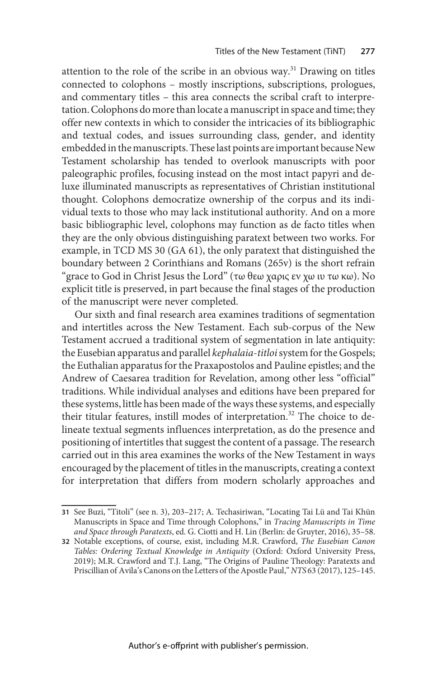attention to the role of the scribe in an obvious way.<sup>31</sup> Drawing on titles connected to colophons – mostly inscriptions, subscriptions, prologues, and commentary titles – this area connects the scribal craft to interpretation. Colophons do more than locate a manuscript in space and time; they offer new contexts in which to consider the intricacies of its bibliographic and textual codes, and issues surrounding class, gender, and identity embedded in the manuscripts. These last points are important because New Testament scholarship has tended to overlook manuscripts with poor paleographic profiles, focusing instead on the most intact papyri and deluxe illuminated manuscripts as representatives of Christian institutional thought. Colophons democratize ownership of the corpus and its individual texts to those who may lack institutional authority. And on a more basic bibliographic level, colophons may function as de facto titles when they are the only obvious distinguishing paratext between two works. For example, in TCD MS 30 (GA 61), the only paratext that distinguished the boundary between 2 Corinthians and Romans (265v) is the short refrain "grace to God in Christ Jesus the Lord" (τω θεω χαρις εν χω ιυ τω κω). No explicit title is preserved, in part because the final stages of the production of the manuscript were never completed.

Our sixth and final research area examines traditions of segmentation and intertitles across the New Testament. Each sub-corpus of the New Testament accrued a traditional system of segmentation in late antiquity: the Eusebian apparatus and parallel *kephalaia-titloi* system for the Gospels; the Euthalian apparatus for the Praxapostolos and Pauline epistles; and the Andrew of Caesarea tradition for Revelation, among other less "official" traditions. While individual analyses and editions have been prepared for these systems, little has been made of the ways these systems, and especially their titular features, instill modes of interpretation.<sup>32</sup> The choice to delineate textual segments influences interpretation, as do the presence and positioning of intertitles that suggest the content of a passage. The research carried out in this area examines the works of the New Testament in ways encouraged by the placement of titles in the manuscripts, creating a context for interpretation that differs from modern scholarly approaches and

<sup>31</sup> See Buzi, "Titoli" (see n. 3), 203–217; A. Techasiriwan, "Locating Tai Lü and Tai Khün Manuscripts in Space and Time through Colophons," in Tracing Manuscripts in Time and Space through Paratexts, ed. G. Ciotti and H. Lin (Berlin: de Gruyter, 2016), 35–58.

<sup>32</sup> Notable exceptions, of course, exist, including M.R. Crawford, The Eusebian Canon Tables: Ordering Textual Knowledge in Antiquity (Oxford: Oxford University Press, 2019); M.R. Crawford and T.J. Lang, "The Origins of Pauline Theology: Paratexts and Priscillian of Avila's Canons on the Letters of the Apostle Paul,"NTS 63 (2017), 125–145.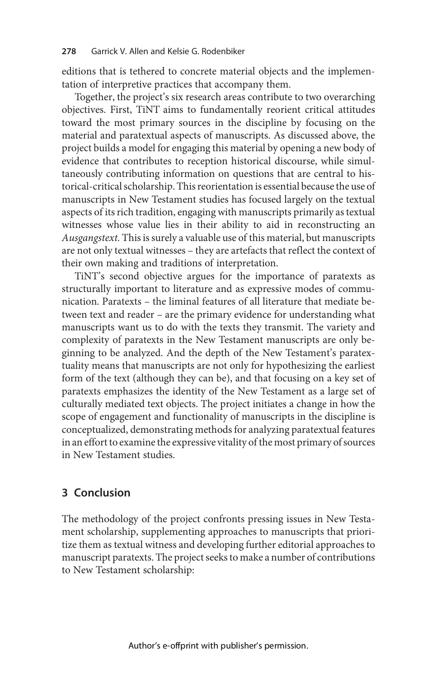editions that is tethered to concrete material objects and the implementation of interpretive practices that accompany them.

Together, the project's six research areas contribute to two overarching objectives. First, TiNT aims to fundamentally reorient critical attitudes toward the most primary sources in the discipline by focusing on the material and paratextual aspects of manuscripts. As discussed above, the project builds a model for engaging this material by opening a new body of evidence that contributes to reception historical discourse, while simultaneously contributing information on questions that are central to historical-critical scholarship. This reorientation is essential because the use of manuscripts in New Testament studies has focused largely on the textual aspects of its rich tradition, engaging with manuscripts primarily as textual witnesses whose value lies in their ability to aid in reconstructing an Ausgangstext. This is surely a valuable use of this material, but manuscripts are not only textual witnesses – they are artefacts that reflect the context of their own making and traditions of interpretation.

TiNT's second objective argues for the importance of paratexts as structurally important to literature and as expressive modes of communication. Paratexts – the liminal features of all literature that mediate between text and reader – are the primary evidence for understanding what manuscripts want us to do with the texts they transmit. The variety and complexity of paratexts in the New Testament manuscripts are only beginning to be analyzed. And the depth of the New Testament's paratextuality means that manuscripts are not only for hypothesizing the earliest form of the text (although they can be), and that focusing on a key set of paratexts emphasizes the identity of the New Testament as a large set of culturally mediated text objects. The project initiates a change in how the scope of engagement and functionality of manuscripts in the discipline is conceptualized, demonstrating methods for analyzing paratextual features in an effort to examine the expressive vitality of the most primary of sources in New Testament studies.

# 3 Conclusion

The methodology of the project confronts pressing issues in New Testament scholarship, supplementing approaches to manuscripts that prioritize them as textual witness and developing further editorial approaches to manuscript paratexts. The project seeks to make a number of contributions to New Testament scholarship: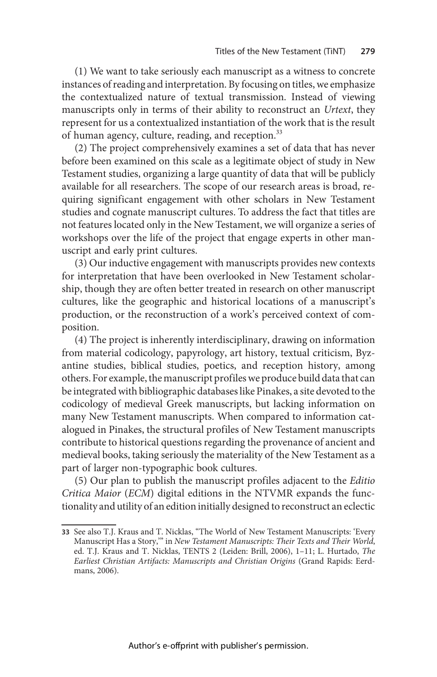(1) We want to take seriously each manuscript as a witness to concrete instances of reading and interpretation. By focusing on titles, we emphasize the contextualized nature of textual transmission. Instead of viewing manuscripts only in terms of their ability to reconstruct an Urtext, they represent for us a contextualized instantiation of the work that is the result of human agency, culture, reading, and reception.<sup>33</sup>

(2) The project comprehensively examines a set of data that has never before been examined on this scale as a legitimate object of study in New Testament studies, organizing a large quantity of data that will be publicly available for all researchers. The scope of our research areas is broad, requiring significant engagement with other scholars in New Testament studies and cognate manuscript cultures. To address the fact that titles are not features located only in the New Testament, we will organize a series of workshops over the life of the project that engage experts in other manuscript and early print cultures.

(3) Our inductive engagement with manuscripts provides new contexts for interpretation that have been overlooked in New Testament scholarship, though they are often better treated in research on other manuscript cultures, like the geographic and historical locations of a manuscript's production, or the reconstruction of a work's perceived context of composition.

(4) The project is inherently interdisciplinary, drawing on information from material codicology, papyrology, art history, textual criticism, Byzantine studies, biblical studies, poetics, and reception history, among others. For example, the manuscript profiles we produce build data that can be integrated with bibliographic databases like Pinakes, a site devoted to the codicology of medieval Greek manuscripts, but lacking information on many New Testament manuscripts. When compared to information catalogued in Pinakes, the structural profiles of New Testament manuscripts contribute to historical questions regarding the provenance of ancient and medieval books, taking seriously the materiality of the New Testament as a part of larger non-typographic book cultures.

(5) Our plan to publish the manuscript profiles adjacent to the Editio Critica Maior (ECM) digital editions in the NTVMR expands the functionality and utility of an edition initially designed to reconstruct an eclectic

<sup>33</sup> See also T.J. Kraus and T. Nicklas, "The World of New Testament Manuscripts: 'Every Manuscript Has a Story,'" in New Testament Manuscripts: Their Texts and Their World, ed. T.J. Kraus and T. Nicklas, TENTS 2 (Leiden: Brill, 2006), 1–11; L. Hurtado, The Earliest Christian Artifacts: Manuscripts and Christian Origins (Grand Rapids: Eerdmans, 2006).